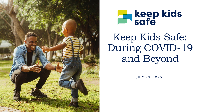



Keep Kids Safe: During COVID-19 and Beyond

JULY 23, 2020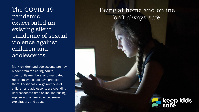The COVID-19 pandemic exacerbated an existing silent pandemic of sexual violence against children and adolescents.

Many children and adolescents are now hidden from the caring adults, community members, and mandated reporters who could have protected them. Additionally, large numbers of children and adolescents are spending unprecedented time online, increasing exposure to online violence, sexual exploitation, and abuse.

#### Being at home and online isn't always safe.

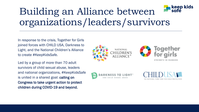#### keep kids<br>safe Building an Alliance between organizations/leaders/survivors

In response to the crisis, Together for Girls joined forces with CHILD USA, Darkness to Light, and the National Children's Alliance to create #KeepKidsSafe.

Led by a group of more than 70 adult survivors of child sexual abuse, leaders and national organizations, #KeepKidsSafe is united in a shared goal: calling on Congress to take urgent action to protect children during COVID-19 and beyond.





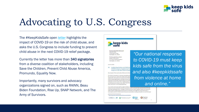

# Advocating to U.S. Congress

The #KeepKidsSafe open [letter](https://docs.google.com/document/d/1FOXd8YBoLWIs7VVnEHkSXmEbiqVjR787KpfpemmtrJg/edit?usp=sharing) highlights the impact of COVID-19 on the risk of child abuse, and asks the U.S. Congress to include funding to prevent child abuse in the next COVID-19 relief package.

Currently the letter has more than 340 signatories from a diverse coalition of stakeholders, including Save the Children, Prevent Child Abuse America, Promundo, Equality Now.

Importantly, many survivors and advocacy organizations signed on, such as RAINN, Beau Biden Foundation, Rise Up, SNAP Network, and The Army of Survivors.



The Honorable Mitch McConnell Majority Leader United States Senate Washington, D.C. 20510

The Honorable Nancy Pelosi Speaker of the House U.S. House of Representatives Washington, D.C. 20515

June 24, 2020

RE: Leading Organizations and Child Sexu FY2020 Emergency Supplemental Fur Programs in the Next COVID-19 Relie

Dear Speaker Pelosi and Leaders McConnell, Schur

The COVID-19 pandemic is having a devastating imthe coronavirus are vital to the health of the popu adolescents, and women to increased risk of violer and as leading organizations working to prevent an child abuse was already rampant before the COVID child abuse at home and in their neighborhoods; a over 80 percent are known to the child. Since the home and online is increasing significantly

*"Our national response to COVID-19 must keep kids safe from the virus and also #keepkidssafe from violence at home and online."*

in our call to end sexual violence against children violence has been fueled for centuries by poverty, racism, and systematic disenfranchiseme vulnerable populations face. Through our work to prevent violence against children, we commit to addressing the longstanding structural barriers that Black and Indigenous communities face in accessing a variety of critical services focused on prevention, healing, and justice to end child sexual

**DARKNESS TO LIGHT**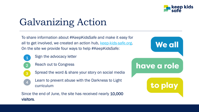

**We all** 

have a role

to play

# Galvanizing Action

To share information about #KeepKidsSafe and make it easy for all to get involved, we created an action hub, [keep-kids-safe.org.](https://www.keep-kids-safe.org/) On the site we provide four ways to help #KeepKidsSafe:

- Sign the advocacy letter
- Reach out to Congress

 $\mathcal{P}$ 

1

3

4

- Spread the word & share your story on social media
- Learn to prevent abuse with the Darkness to Light curriculum

Since the end of June, the site has received nearly 10,000 visitors.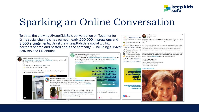

# Sparking an Online Conversation

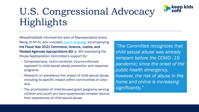# U.S. Congressional Advocacy Highlights

#KeepKidsSafe informed the work of Representative Grace Meng (D-NY-6), who included [report language](https://appropriations.house.gov/sites/democrats.appropriations.house.gov/files/July%209th%20report%20for%20circulation_0.pdf) accompanying the Fiscal Year 2021 Commerce, Science, Justice, and Related Agencies Appropriations Bill (p. 90) expressing the House Appropriation Committee's support for:

- Comprehensive, victim-centered, trauma-informed approach to child sexual abuse prevention and response programs;
- Research on prevalence the impact of child sexual abuse, including its specific impact within communities of color; and,
- The prioritization of child-focused grant programs serving children and youth you have experienced complex trauma from experiences of child sexual abuse.

*"The Committee recognizes that child sexual abuse was already rampant before the COVID–19 pandemic; since the onset of the public health emergency, however, the risk of abuse in the home and online is increasing significantly."*

keep kids<br>safe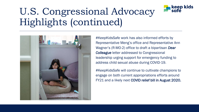# U.S. Congressional Advocacy Highlights (continued)



#KeepKidsSafe work has also informed efforts by Representative Meng's office and Representative Ann Wagner's (R-MO-2) office to draft a bipartisan *Dear Colleague* letter addressed to Congressional leadership urging support for emergency funding to address child sexual abuse during COVID-19.

keep kids<br>safe

#KeepKidsSafe will continue to cultivate champions to engage on both current appropriations efforts around FY21 and a likely next COVID relief bill in August 2020.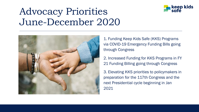

### Advocacy Priorities June-December 2020



1. Funding Keep Kids Safe (KKS) Programs via COVID-19 Emergency Funding Bills going through Congress

2. Increased Funding for KKS Programs in FY 21 Funding Billing going through Congress

3. Elevating KKS priorities to policymakers in preparation for the 117th Congress and the next Presidential cycle beginning in Jan 2021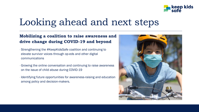

## Looking ahead and next steps

#### **Mobilizing a coalition to raise awareness and drive change during COVID-19 and beyond**

- Strengthening the #KeepKidsSafe coalition and continuing to elevate survivor voices through op-eds and other digital communications
- Growing the online conversation and continuing to raise awareness on the issue of child abuse during COVID-19
- Identifying future opportunities for awareness-raising and education among policy and decision-makers.